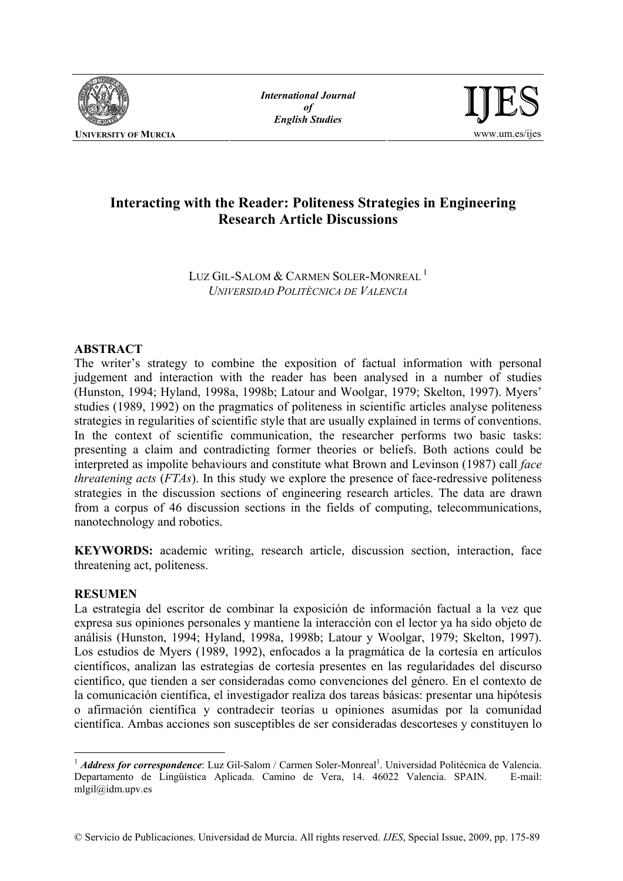

*International Journal of English Studies*



# **Interacting with the Reader: Politeness Strategies in Engineering Research Article Discussions**

LUZ GIL-SALOM & CARMEN SOLER-MONREAL<sup>1</sup> *UNIVERSIDAD POLITÉCNICA DE VALENCIA*

# **ABSTRACT**

The writer's strategy to combine the exposition of factual information with personal judgement and interaction with the reader has been analysed in a number of studies (Hunston, 1994; Hyland, 1998a, 1998b; Latour and Woolgar, 1979; Skelton, 1997). Myers' studies (1989, 1992) on the pragmatics of politeness in scientific articles analyse politeness strategies in regularities of scientific style that are usually explained in terms of conventions. In the context of scientific communication, the researcher performs two basic tasks: presenting a claim and contradicting former theories or beliefs. Both actions could be interpreted as impolite behaviours and constitute what Brown and Levinson (1987) call *face threatening acts* (*FTAs*). In this study we explore the presence of face-redressive politeness strategies in the discussion sections of engineering research articles. The data are drawn from a corpus of 46 discussion sections in the fields of computing, telecommunications, nanotechnology and robotics.

**KEYWORDS:** academic writing, research article, discussion section, interaction, face threatening act, politeness.

## **RESUMEN**

 $\overline{a}$ 

La estrategia del escritor de combinar la exposición de información factual a la vez que expresa sus opiniones personales y mantiene la interacción con el lector ya ha sido objeto de análisis (Hunston, 1994; Hyland, 1998a, 1998b; Latour y Woolgar, 1979; Skelton, 1997). Los estudios de Myers (1989, 1992), enfocados a la pragmática de la cortesía en artículos científicos, analizan las estrategias de cortesía presentes en las regularidades del discurso científico, que tienden a ser consideradas como convenciones del género. En el contexto de la comunicación científica, el investigador realiza dos tareas básicas: presentar una hipótesis o afirmación científica y contradecir teorías u opiniones asumidas por la comunidad científica. Ambas acciones son susceptibles de ser consideradas descorteses y constituyen lo

<sup>&</sup>lt;sup>1</sup> *Address for correspondence*: Luz Gil-Salom / Carmen Soler-Monreal<sup>1</sup>. Universidad Politécnica de Valencia. Departamento de Lingüística Aplicada. Camino de Vera, 14. 46022 Valencia. SPAIN. E-mail: mlgil@idm.upv.es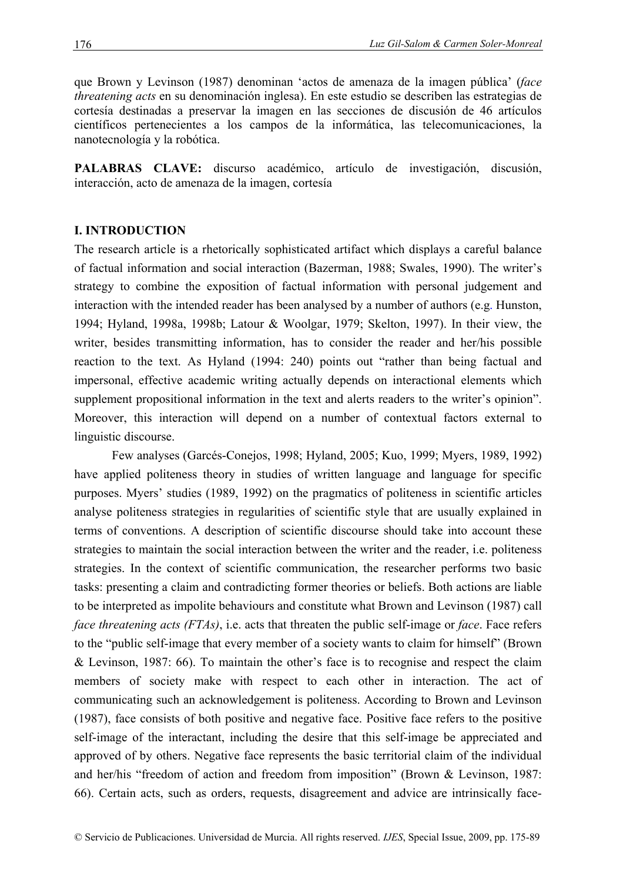que Brown y Levinson (1987) denominan 'actos de amenaza de la imagen pública' (*face threatening acts* en su denominación inglesa). En este estudio se describen las estrategias de cortesía destinadas a preservar la imagen en las secciones de discusión de 46 artículos científicos pertenecientes a los campos de la informática, las telecomunicaciones, la nanotecnología y la robótica.

**PALABRAS CLAVE:** discurso académico, artículo de investigación, discusión, interacción, acto de amenaza de la imagen, cortesía

#### **I. INTRODUCTION**

The research article is a rhetorically sophisticated artifact which displays a careful balance of factual information and social interaction (Bazerman, 1988; Swales, 1990). The writer's strategy to combine the exposition of factual information with personal judgement and interaction with the intended reader has been analysed by a number of authors (e.g. Hunston, 1994; Hyland, 1998a, 1998b; Latour & Woolgar, 1979; Skelton, 1997). In their view, the writer, besides transmitting information, has to consider the reader and her/his possible reaction to the text. As Hyland (1994: 240) points out "rather than being factual and impersonal, effective academic writing actually depends on interactional elements which supplement propositional information in the text and alerts readers to the writer's opinion". Moreover, this interaction will depend on a number of contextual factors external to linguistic discourse.

 Few analyses (Garcés-Conejos, 1998; Hyland, 2005; Kuo, 1999; Myers, 1989, 1992) have applied politeness theory in studies of written language and language for specific purposes. Myers' studies (1989, 1992) on the pragmatics of politeness in scientific articles analyse politeness strategies in regularities of scientific style that are usually explained in terms of conventions. A description of scientific discourse should take into account these strategies to maintain the social interaction between the writer and the reader, i.e. politeness strategies. In the context of scientific communication, the researcher performs two basic tasks: presenting a claim and contradicting former theories or beliefs. Both actions are liable to be interpreted as impolite behaviours and constitute what Brown and Levinson (1987) call *face threatening acts (FTAs)*, i.e. acts that threaten the public self-image or *face*. Face refers to the "public self-image that every member of a society wants to claim for himself" (Brown & Levinson, 1987: 66). To maintain the other's face is to recognise and respect the claim members of society make with respect to each other in interaction. The act of communicating such an acknowledgement is politeness. According to Brown and Levinson (1987), face consists of both positive and negative face. Positive face refers to the positive self-image of the interactant, including the desire that this self-image be appreciated and approved of by others. Negative face represents the basic territorial claim of the individual and her/his "freedom of action and freedom from imposition" (Brown & Levinson, 1987: 66). Certain acts, such as orders, requests, disagreement and advice are intrinsically face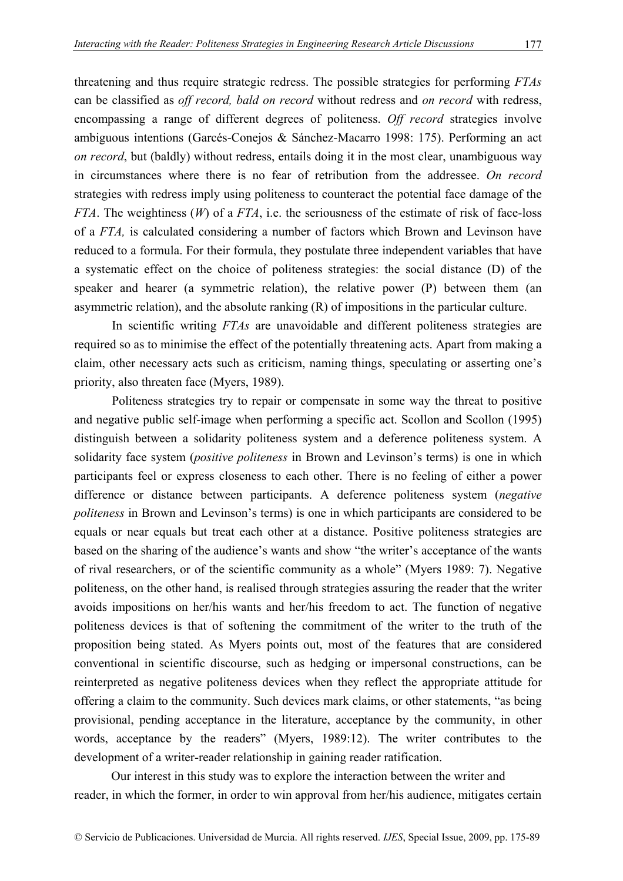threatening and thus require strategic redress. The possible strategies for performing *FTAs* can be classified as *off record, bald on record* without redress and *on record* with redress, encompassing a range of different degrees of politeness. *Off record* strategies involve ambiguous intentions (Garcés-Conejos & Sánchez-Macarro 1998: 175). Performing an act *on record*, but (baldly) without redress, entails doing it in the most clear, unambiguous way in circumstances where there is no fear of retribution from the addressee. *On record* strategies with redress imply using politeness to counteract the potential face damage of the *FTA*. The weightiness (*W*) of a *FTA*, i.e. the seriousness of the estimate of risk of face-loss of a *FTA,* is calculated considering a number of factors which Brown and Levinson have reduced to a formula. For their formula, they postulate three independent variables that have a systematic effect on the choice of politeness strategies: the social distance (D) of the

speaker and hearer (a symmetric relation), the relative power (P) between them (an asymmetric relation), and the absolute ranking (R) of impositions in the particular culture.

 In scientific writing *FTAs* are unavoidable and different politeness strategies are required so as to minimise the effect of the potentially threatening acts. Apart from making a claim, other necessary acts such as criticism, naming things, speculating or asserting one's priority, also threaten face (Myers, 1989).

 Politeness strategies try to repair or compensate in some way the threat to positive and negative public self-image when performing a specific act. Scollon and Scollon (1995) distinguish between a solidarity politeness system and a deference politeness system. A solidarity face system (*positive politeness* in Brown and Levinson's terms) is one in which participants feel or express closeness to each other. There is no feeling of either a power difference or distance between participants. A deference politeness system (*negative politeness* in Brown and Levinson's terms) is one in which participants are considered to be equals or near equals but treat each other at a distance. Positive politeness strategies are based on the sharing of the audience's wants and show "the writer's acceptance of the wants of rival researchers, or of the scientific community as a whole" (Myers 1989: 7). Negative politeness, on the other hand, is realised through strategies assuring the reader that the writer avoids impositions on her/his wants and her/his freedom to act. The function of negative politeness devices is that of softening the commitment of the writer to the truth of the proposition being stated. As Myers points out, most of the features that are considered conventional in scientific discourse, such as hedging or impersonal constructions, can be reinterpreted as negative politeness devices when they reflect the appropriate attitude for offering a claim to the community. Such devices mark claims, or other statements, "as being provisional, pending acceptance in the literature, acceptance by the community, in other words, acceptance by the readers" (Myers, 1989:12). The writer contributes to the development of a writer-reader relationship in gaining reader ratification.

Our interest in this study was to explore the interaction between the writer and reader, in which the former, in order to win approval from her/his audience, mitigates certain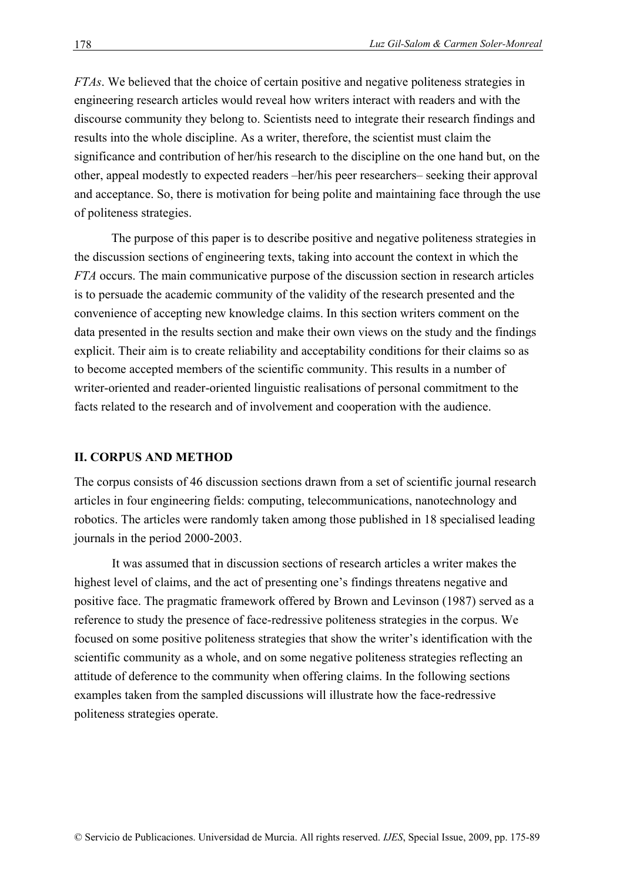*FTAs*. We believed that the choice of certain positive and negative politeness strategies in engineering research articles would reveal how writers interact with readers and with the discourse community they belong to. Scientists need to integrate their research findings and results into the whole discipline. As a writer, therefore, the scientist must claim the significance and contribution of her/his research to the discipline on the one hand but, on the other, appeal modestly to expected readers –her/his peer researchers– seeking their approval and acceptance. So, there is motivation for being polite and maintaining face through the use of politeness strategies.

The purpose of this paper is to describe positive and negative politeness strategies in the discussion sections of engineering texts, taking into account the context in which the *FTA* occurs. The main communicative purpose of the discussion section in research articles is to persuade the academic community of the validity of the research presented and the convenience of accepting new knowledge claims. In this section writers comment on the data presented in the results section and make their own views on the study and the findings explicit. Their aim is to create reliability and acceptability conditions for their claims so as to become accepted members of the scientific community. This results in a number of writer-oriented and reader-oriented linguistic realisations of personal commitment to the facts related to the research and of involvement and cooperation with the audience.

#### **II. CORPUS AND METHOD**

The corpus consists of 46 discussion sections drawn from a set of scientific journal research articles in four engineering fields: computing, telecommunications, nanotechnology and robotics. The articles were randomly taken among those published in 18 specialised leading journals in the period 2000-2003.

 It was assumed that in discussion sections of research articles a writer makes the highest level of claims, and the act of presenting one's findings threatens negative and positive face. The pragmatic framework offered by Brown and Levinson (1987) served as a reference to study the presence of face-redressive politeness strategies in the corpus. We focused on some positive politeness strategies that show the writer's identification with the scientific community as a whole, and on some negative politeness strategies reflecting an attitude of deference to the community when offering claims. In the following sections examples taken from the sampled discussions will illustrate how the face-redressive politeness strategies operate.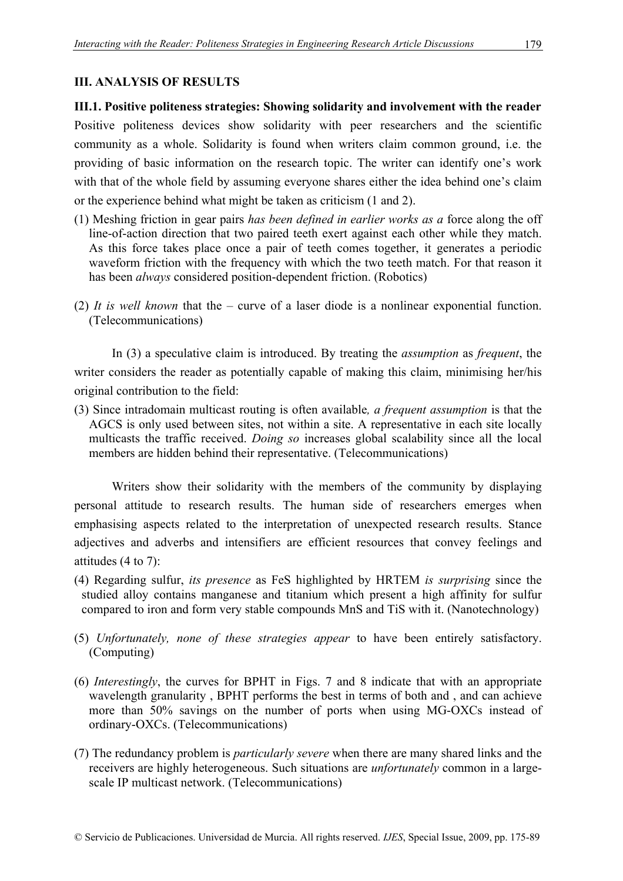## **III. ANALYSIS OF RESULTS**

**III.1. Positive politeness strategies: Showing solidarity and involvement with the reader**  Positive politeness devices show solidarity with peer researchers and the scientific community as a whole. Solidarity is found when writers claim common ground, i.e. the providing of basic information on the research topic. The writer can identify one's work with that of the whole field by assuming everyone shares either the idea behind one's claim or the experience behind what might be taken as criticism (1 and 2).

- (1) Meshing friction in gear pairs *has been defined in earlier works as a* force along the off line-of-action direction that two paired teeth exert against each other while they match. As this force takes place once a pair of teeth comes together, it generates a periodic waveform friction with the frequency with which the two teeth match. For that reason it has been *always* considered position-dependent friction. (Robotics)
- (2) *It is well known* that the curve of a laser diode is a nonlinear exponential function. (Telecommunications)

 In (3) a speculative claim is introduced. By treating the *assumption* as *frequent*, the writer considers the reader as potentially capable of making this claim, minimising her/his original contribution to the field:

(3) Since intradomain multicast routing is often available*, a frequent assumption* is that the AGCS is only used between sites, not within a site. A representative in each site locally multicasts the traffic received. *Doing so* increases global scalability since all the local members are hidden behind their representative. (Telecommunications)

 Writers show their solidarity with the members of the community by displaying personal attitude to research results. The human side of researchers emerges when emphasising aspects related to the interpretation of unexpected research results. Stance adjectives and adverbs and intensifiers are efficient resources that convey feelings and attitudes (4 to 7):

- (4) Regarding sulfur, *its presence* as FeS highlighted by HRTEM *is surprising* since the studied alloy contains manganese and titanium which present a high affinity for sulfur compared to iron and form very stable compounds MnS and TiS with it. (Nanotechnology)
- (5) *Unfortunately, none of these strategies appear* to have been entirely satisfactory. (Computing)
- (6) *Interestingly*, the curves for BPHT in Figs. 7 and 8 indicate that with an appropriate wavelength granularity , BPHT performs the best in terms of both and , and can achieve more than 50% savings on the number of ports when using MG-OXCs instead of ordinary-OXCs. (Telecommunications)
- (7) The redundancy problem is *particularly severe* when there are many shared links and the receivers are highly heterogeneous. Such situations are *unfortunately* common in a largescale IP multicast network. (Telecommunications)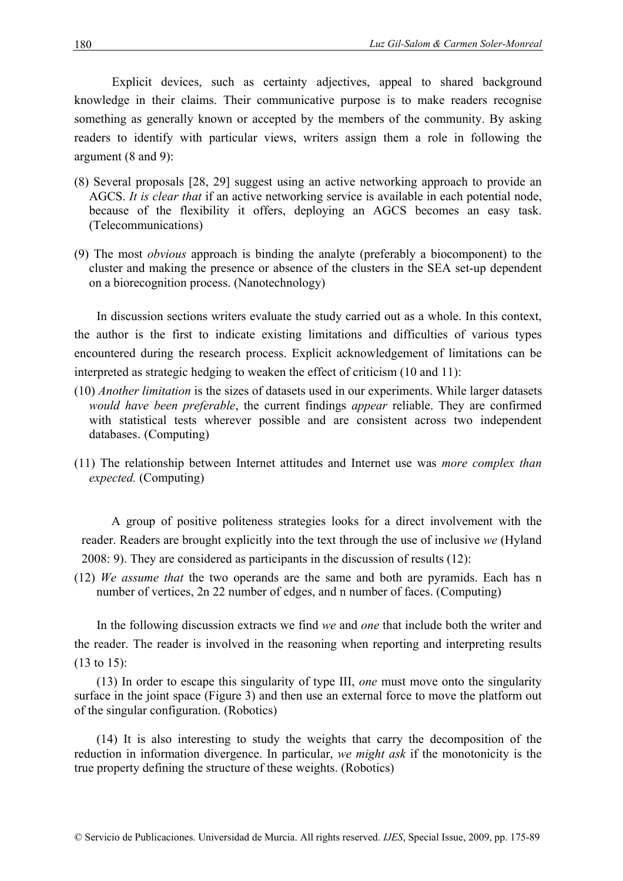Explicit devices, such as certainty adjectives, appeal to shared background knowledge in their claims. Their communicative purpose is to make readers recognise something as generally known or accepted by the members of the community. By asking readers to identify with particular views, writers assign them a role in following the argument (8 and 9):

- (8) Several proposals [28, 29] suggest using an active networking approach to provide an AGCS. *It is clear that* if an active networking service is available in each potential node, because of the flexibility it offers, deploying an AGCS becomes an easy task. (Telecommunications)
- (9) The most *obvious* approach is binding the analyte (preferably a biocomponent) to the cluster and making the presence or absence of the clusters in the SEA set-up dependent on a biorecognition process. (Nanotechnology)

In discussion sections writers evaluate the study carried out as a whole. In this context, the author is the first to indicate existing limitations and difficulties of various types encountered during the research process. Explicit acknowledgement of limitations can be interpreted as strategic hedging to weaken the effect of criticism (10 and 11):

- (10) *Another limitation* is the sizes of datasets used in our experiments. While larger datasets *would have been preferable*, the current findings *appear* reliable. They are confirmed with statistical tests wherever possible and are consistent across two independent databases. (Computing)
- (11) The relationship between Internet attitudes and Internet use was *more complex than expected.* (Computing)

A group of positive politeness strategies looks for a direct involvement with the reader. Readers are brought explicitly into the text through the use of inclusive *we* (Hyland 2008: 9). They are considered as participants in the discussion of results (12):

(12) *We assume that* the two operands are the same and both are pyramids. Each has n number of vertices, 2n 22 number of edges, and n number of faces. (Computing)

In the following discussion extracts we find *we* and *one* that include both the writer and the reader. The reader is involved in the reasoning when reporting and interpreting results (13 to 15):

(13) In order to escape this singularity of type III, *one* must move onto the singularity surface in the joint space (Figure 3) and then use an external force to move the platform out of the singular configuration. (Robotics)

(14) It is also interesting to study the weights that carry the decomposition of the reduction in information divergence. In particular, *we might ask* if the monotonicity is the true property defining the structure of these weights. (Robotics)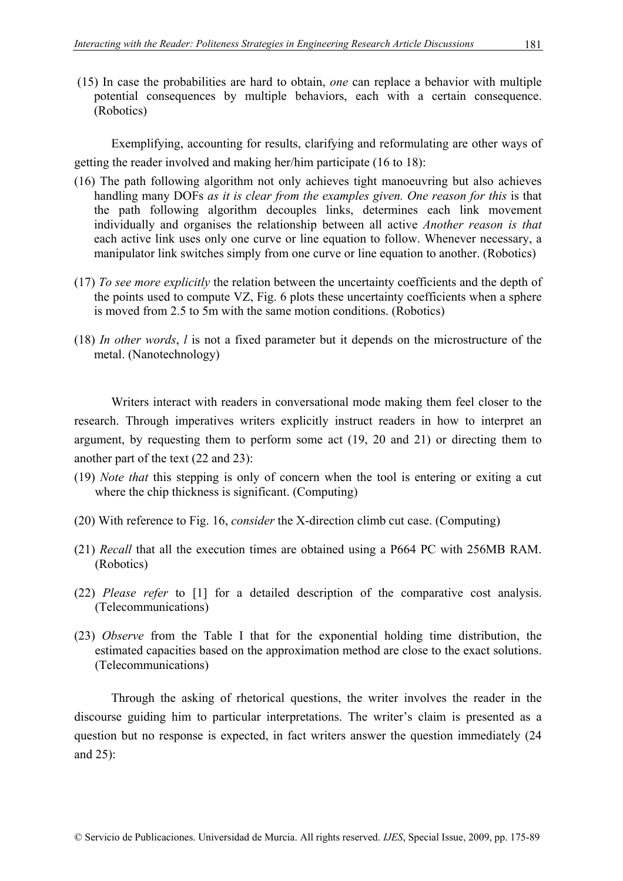(15) In case the probabilities are hard to obtain, *one* can replace a behavior with multiple potential consequences by multiple behaviors, each with a certain consequence. (Robotics)

Exemplifying, accounting for results, clarifying and reformulating are other ways of getting the reader involved and making her/him participate (16 to 18):

- (16) The path following algorithm not only achieves tight manoeuvring but also achieves handling many DOFs *as it is clear from the examples given. One reason for this* is that the path following algorithm decouples links, determines each link movement individually and organises the relationship between all active *Another reason is that* each active link uses only one curve or line equation to follow. Whenever necessary, a manipulator link switches simply from one curve or line equation to another. (Robotics)
- (17) *To see more explicitly* the relation between the uncertainty coefficients and the depth of the points used to compute VZ, Fig. 6 plots these uncertainty coefficients when a sphere is moved from 2.5 to 5m with the same motion conditions. (Robotics)
- (18) *In other words*, *l* is not a fixed parameter but it depends on the microstructure of the metal. (Nanotechnology)

Writers interact with readers in conversational mode making them feel closer to the research. Through imperatives writers explicitly instruct readers in how to interpret an argument, by requesting them to perform some act (19, 20 and 21) or directing them to another part of the text (22 and 23):

- (19) *Note that* this stepping is only of concern when the tool is entering or exiting a cut where the chip thickness is significant. (Computing)
- (20) With reference to Fig. 16, *consider* the X-direction climb cut case. (Computing)
- (21) *Recall* that all the execution times are obtained using a P664 PC with 256MB RAM. (Robotics)
- (22) *Please refer* to [1] for a detailed description of the comparative cost analysis. (Telecommunications)
- (23) *Observe* from the Table I that for the exponential holding time distribution, the estimated capacities based on the approximation method are close to the exact solutions. (Telecommunications)

Through the asking of rhetorical questions, the writer involves the reader in the discourse guiding him to particular interpretations. The writer's claim is presented as a question but no response is expected, in fact writers answer the question immediately (24 and 25):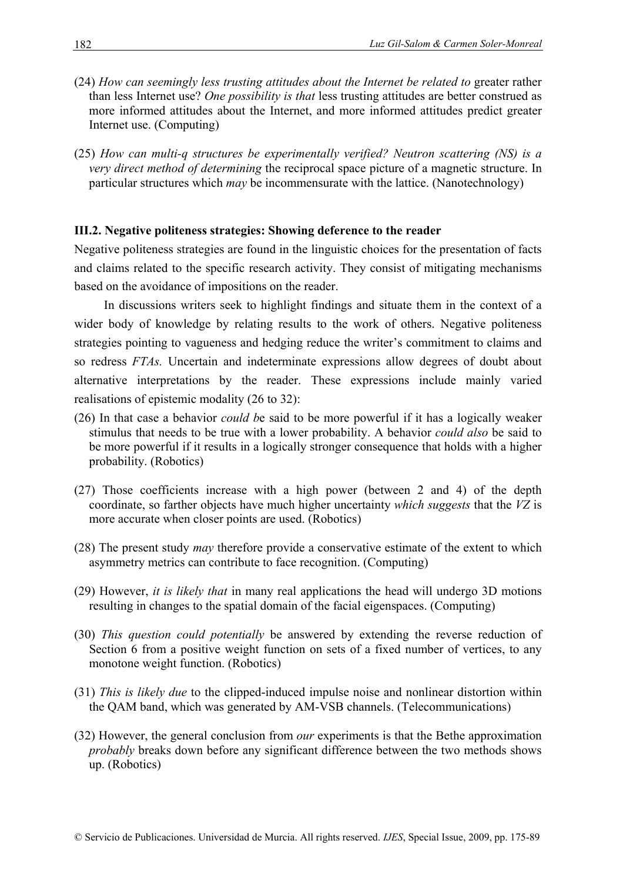- (24) *How can seemingly less trusting attitudes about the Internet be related to* greater rather than less Internet use? *One possibility is that* less trusting attitudes are better construed as more informed attitudes about the Internet, and more informed attitudes predict greater Internet use. (Computing)
- (25) *How can multi-q structures be experimentally verified? Neutron scattering (NS) is a very direct method of determining* the reciprocal space picture of a magnetic structure. In particular structures which *may* be incommensurate with the lattice. (Nanotechnology)

## **III.2. Negative politeness strategies: Showing deference to the reader**

Negative politeness strategies are found in the linguistic choices for the presentation of facts and claims related to the specific research activity. They consist of mitigating mechanisms based on the avoidance of impositions on the reader.

In discussions writers seek to highlight findings and situate them in the context of a wider body of knowledge by relating results to the work of others. Negative politeness strategies pointing to vagueness and hedging reduce the writer's commitment to claims and so redress *FTAs.* Uncertain and indeterminate expressions allow degrees of doubt about alternative interpretations by the reader. These expressions include mainly varied realisations of epistemic modality (26 to 32):

- (26) In that case a behavior *could b*e said to be more powerful if it has a logically weaker stimulus that needs to be true with a lower probability. A behavior *could also* be said to be more powerful if it results in a logically stronger consequence that holds with a higher probability. (Robotics)
- (27) Those coefficients increase with a high power (between 2 and 4) of the depth coordinate, so farther objects have much higher uncertainty *which suggests* that the *VZ* is more accurate when closer points are used. (Robotics)
- (28) The present study *may* therefore provide a conservative estimate of the extent to which asymmetry metrics can contribute to face recognition. (Computing)
- (29) However, *it is likely that* in many real applications the head will undergo 3D motions resulting in changes to the spatial domain of the facial eigenspaces. (Computing)
- (30) *This question could potentially* be answered by extending the reverse reduction of Section 6 from a positive weight function on sets of a fixed number of vertices, to any monotone weight function. (Robotics)
- (31) *This is likely due* to the clipped-induced impulse noise and nonlinear distortion within the QAM band, which was generated by AM-VSB channels. (Telecommunications)
- (32) However, the general conclusion from *our* experiments is that the Bethe approximation *probably* breaks down before any significant difference between the two methods shows up. (Robotics)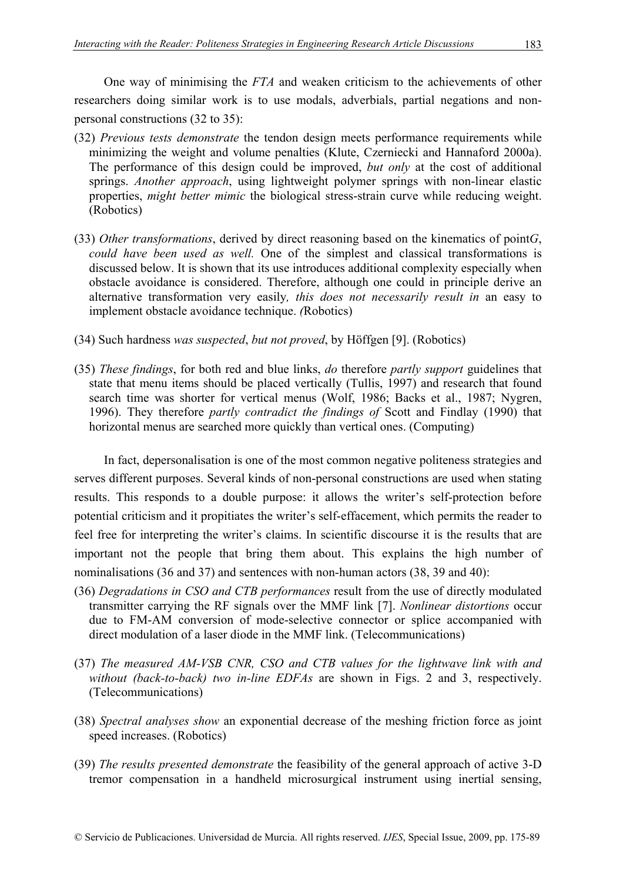One way of minimising the *FTA* and weaken criticism to the achievements of other researchers doing similar work is to use modals, adverbials, partial negations and nonpersonal constructions (32 to 35):

- (32) *Previous tests demonstrate* the tendon design meets performance requirements while minimizing the weight and volume penalties (Klute, Czerniecki and Hannaford 2000a). The performance of this design could be improved, *but only* at the cost of additional springs. *Another approach*, using lightweight polymer springs with non-linear elastic properties, *might better mimic* the biological stress-strain curve while reducing weight. (Robotics)
- (33) *Other transformations*, derived by direct reasoning based on the kinematics of point*G*, *could have been used as well.* One of the simplest and classical transformations is discussed below. It is shown that its use introduces additional complexity especially when obstacle avoidance is considered. Therefore, although one could in principle derive an alternative transformation very easily*, this does not necessarily result in* an easy to implement obstacle avoidance technique. *(*Robotics)
- (34) Such hardness *was suspected*, *but not proved*, by Höffgen [9]. (Robotics)
- (35) *These findings*, for both red and blue links, *do* therefore *partly support* guidelines that state that menu items should be placed vertically (Tullis, 1997) and research that found search time was shorter for vertical menus (Wolf, 1986; Backs et al., 1987; Nygren, 1996). They therefore *partly contradict the findings of* Scott and Findlay (1990) that horizontal menus are searched more quickly than vertical ones. (Computing)

In fact, depersonalisation is one of the most common negative politeness strategies and serves different purposes. Several kinds of non-personal constructions are used when stating results. This responds to a double purpose: it allows the writer's self-protection before potential criticism and it propitiates the writer's self-effacement, which permits the reader to feel free for interpreting the writer's claims. In scientific discourse it is the results that are important not the people that bring them about. This explains the high number of nominalisations (36 and 37) and sentences with non-human actors (38, 39 and 40):

- (36) *Degradations in CSO and CTB performances* result from the use of directly modulated transmitter carrying the RF signals over the MMF link [7]. *Nonlinear distortions* occur due to FM-AM conversion of mode-selective connector or splice accompanied with direct modulation of a laser diode in the MMF link. (Telecommunications)
- (37) *The measured AM-VSB CNR, CSO and CTB values for the lightwave link with and without (back-to-back) two in-line EDFAs* are shown in Figs. 2 and 3, respectively. (Telecommunications)
- (38) *Spectral analyses show* an exponential decrease of the meshing friction force as joint speed increases. (Robotics)
- (39) *The results presented demonstrate* the feasibility of the general approach of active 3-D tremor compensation in a handheld microsurgical instrument using inertial sensing,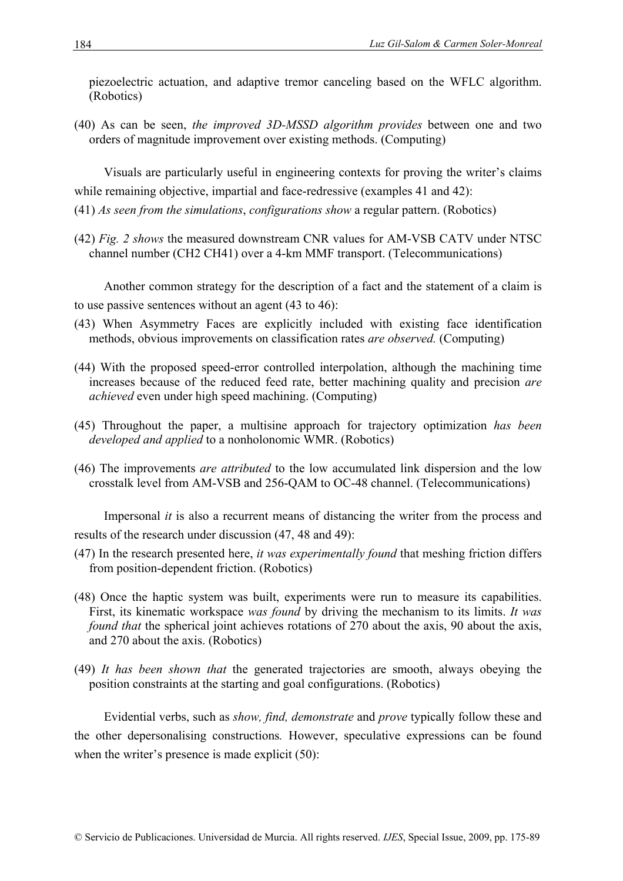piezoelectric actuation, and adaptive tremor canceling based on the WFLC algorithm. (Robotics)

(40) As can be seen, *the improved 3D-MSSD algorithm provides* between one and two orders of magnitude improvement over existing methods. (Computing)

Visuals are particularly useful in engineering contexts for proving the writer's claims while remaining objective, impartial and face-redressive (examples 41 and 42):

- (41) *As seen from the simulations*, *configurations show* a regular pattern. (Robotics)
- (42) *Fig. 2 shows* the measured downstream CNR values for AM-VSB CATV under NTSC channel number (CH2 CH41) over a 4-km MMF transport. (Telecommunications)

Another common strategy for the description of a fact and the statement of a claim is to use passive sentences without an agent (43 to 46):

- (43) When Asymmetry Faces are explicitly included with existing face identification methods, obvious improvements on classification rates *are observed.* (Computing)
- (44) With the proposed speed-error controlled interpolation, although the machining time increases because of the reduced feed rate, better machining quality and precision *are achieved* even under high speed machining. (Computing)
- (45) Throughout the paper, a multisine approach for trajectory optimization *has been developed and applied* to a nonholonomic WMR. (Robotics)
- (46) The improvements *are attributed* to the low accumulated link dispersion and the low crosstalk level from AM-VSB and 256-QAM to OC-48 channel. (Telecommunications)

Impersonal *it* is also a recurrent means of distancing the writer from the process and results of the research under discussion (47, 48 and 49):

- (47) In the research presented here, *it was experimentally found* that meshing friction differs from position-dependent friction. (Robotics)
- (48) Once the haptic system was built, experiments were run to measure its capabilities. First, its kinematic workspace *was found* by driving the mechanism to its limits. *It was found that* the spherical joint achieves rotations of 270 about the axis, 90 about the axis, and 270 about the axis. (Robotics)
- (49) *It has been shown that* the generated trajectories are smooth, always obeying the position constraints at the starting and goal configurations. (Robotics)

Evidential verbs, such as *show, find, demonstrate* and *prove* typically follow these and the other depersonalising constructions*.* However, speculative expressions can be found when the writer's presence is made explicit (50):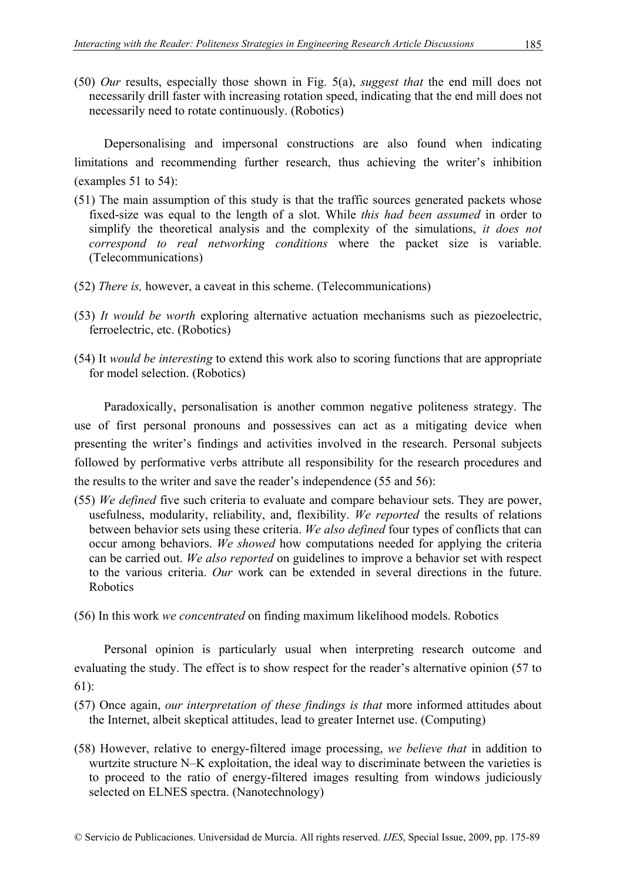(50) *Our* results, especially those shown in Fig. 5(a), *suggest that* the end mill does not necessarily drill faster with increasing rotation speed, indicating that the end mill does not necessarily need to rotate continuously. (Robotics)

Depersonalising and impersonal constructions are also found when indicating limitations and recommending further research, thus achieving the writer's inhibition (examples 51 to 54):

- (51) The main assumption of this study is that the traffic sources generated packets whose fixed-size was equal to the length of a slot. While *this had been assumed* in order to simplify the theoretical analysis and the complexity of the simulations, *it does not correspond to real networking conditions* where the packet size is variable. (Telecommunications)
- (52) *There is,* however, a caveat in this scheme. (Telecommunications)
- (53) *It would be worth* exploring alternative actuation mechanisms such as piezoelectric, ferroelectric, etc. (Robotics)
- (54) It *would be interesting* to extend this work also to scoring functions that are appropriate for model selection. (Robotics)

Paradoxically, personalisation is another common negative politeness strategy. The use of first personal pronouns and possessives can act as a mitigating device when presenting the writer's findings and activities involved in the research. Personal subjects followed by performative verbs attribute all responsibility for the research procedures and the results to the writer and save the reader's independence (55 and 56):

- (55) *We defined* five such criteria to evaluate and compare behaviour sets. They are power, usefulness, modularity, reliability, and, flexibility. *We reported* the results of relations between behavior sets using these criteria. *We also defined* four types of conflicts that can occur among behaviors. *We showed* how computations needed for applying the criteria can be carried out. *We also reported* on guidelines to improve a behavior set with respect to the various criteria. *Our* work can be extended in several directions in the future. Robotics
- (56) In this work *we concentrated* on finding maximum likelihood models. Robotics

Personal opinion is particularly usual when interpreting research outcome and evaluating the study. The effect is to show respect for the reader's alternative opinion (57 to 61):

- (57) Once again, *our interpretation of these findings is that* more informed attitudes about the Internet, albeit skeptical attitudes, lead to greater Internet use. (Computing)
- (58) However, relative to energy-filtered image processing, *we believe that* in addition to wurtzite structure N–K exploitation, the ideal way to discriminate between the varieties is to proceed to the ratio of energy-filtered images resulting from windows judiciously selected on ELNES spectra. (Nanotechnology)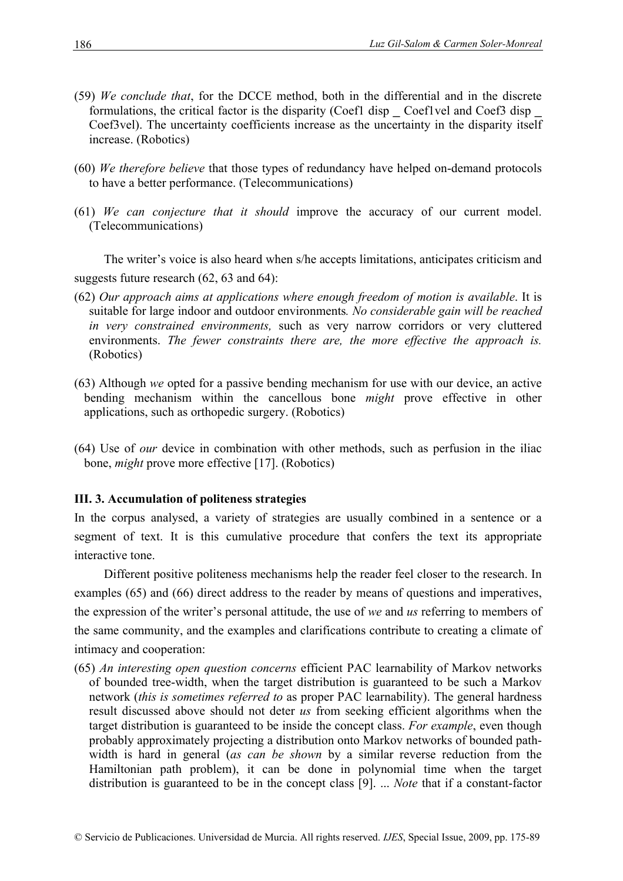- (59) *We conclude that*, for the DCCE method, both in the differential and in the discrete formulations, the critical factor is the disparity (Coef1 disp \_ Coef1vel and Coef3 disp Coef3vel). The uncertainty coefficients increase as the uncertainty in the disparity itself increase. (Robotics)
- (60) *We therefore believe* that those types of redundancy have helped on-demand protocols to have a better performance. (Telecommunications)
- (61) *We can conjecture that it should* improve the accuracy of our current model. (Telecommunications)

The writer's voice is also heard when s/he accepts limitations, anticipates criticism and suggests future research (62, 63 and 64):

- (62) *Our approach aims at applications where enough freedom of motion is available*. It is suitable for large indoor and outdoor environments*. No considerable gain will be reached in very constrained environments,* such as very narrow corridors or very cluttered environments. *The fewer constraints there are, the more effective the approach is.* (Robotics)
- (63) Although *we* opted for a passive bending mechanism for use with our device, an active bending mechanism within the cancellous bone *might* prove effective in other applications, such as orthopedic surgery. (Robotics)
- (64) Use of *our* device in combination with other methods, such as perfusion in the iliac bone, *might* prove more effective [17]. (Robotics)

#### **III. 3. Accumulation of politeness strategies**

In the corpus analysed, a variety of strategies are usually combined in a sentence or a segment of text. It is this cumulative procedure that confers the text its appropriate interactive tone.

Different positive politeness mechanisms help the reader feel closer to the research. In examples (65) and (66) direct address to the reader by means of questions and imperatives, the expression of the writer's personal attitude, the use of *we* and *us* referring to members of the same community, and the examples and clarifications contribute to creating a climate of intimacy and cooperation:

(65) *An interesting open question concerns* efficient PAC learnability of Markov networks of bounded tree-width, when the target distribution is guaranteed to be such a Markov network (*this is sometimes referred to* as proper PAC learnability). The general hardness result discussed above should not deter *us* from seeking efficient algorithms when the target distribution is guaranteed to be inside the concept class. *For example*, even though probably approximately projecting a distribution onto Markov networks of bounded pathwidth is hard in general (*as can be shown* by a similar reverse reduction from the Hamiltonian path problem), it can be done in polynomial time when the target distribution is guaranteed to be in the concept class [9]. ... *Note* that if a constant-factor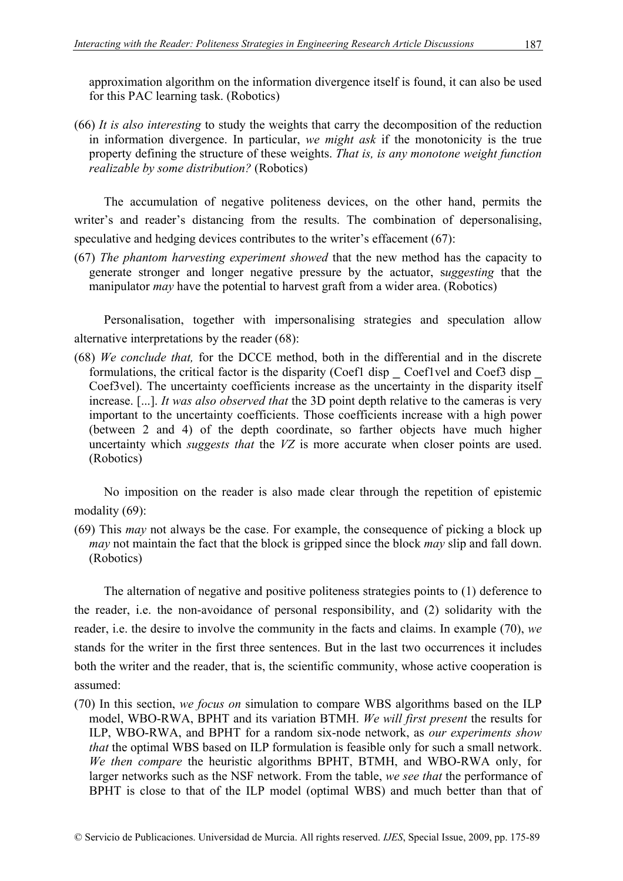approximation algorithm on the information divergence itself is found, it can also be used for this PAC learning task. (Robotics)

(66) *It is also interesting* to study the weights that carry the decomposition of the reduction in information divergence. In particular, *we might ask* if the monotonicity is the true property defining the structure of these weights. *That is, is any monotone weight function realizable by some distribution?* (Robotics)

The accumulation of negative politeness devices, on the other hand, permits the writer's and reader's distancing from the results. The combination of depersonalising, speculative and hedging devices contributes to the writer's effacement (67):

(67) *The phantom harvesting experiment showed* that the new method has the capacity to generate stronger and longer negative pressure by the actuator, s*uggesting* that the manipulator *may* have the potential to harvest graft from a wider area. (Robotics)

Personalisation, together with impersonalising strategies and speculation allow alternative interpretations by the reader (68):

(68) *We conclude that,* for the DCCE method, both in the differential and in the discrete formulations, the critical factor is the disparity (Coef1 disp \_ Coef1vel and Coef3 disp Coef3vel). The uncertainty coefficients increase as the uncertainty in the disparity itself increase. [...]. *It was also observed that* the 3D point depth relative to the cameras is very important to the uncertainty coefficients. Those coefficients increase with a high power (between 2 and 4) of the depth coordinate, so farther objects have much higher uncertainty which *suggests that* the *VZ* is more accurate when closer points are used. (Robotics)

No imposition on the reader is also made clear through the repetition of epistemic modality (69):

(69) This *may* not always be the case. For example, the consequence of picking a block up *may* not maintain the fact that the block is gripped since the block *may* slip and fall down. (Robotics)

The alternation of negative and positive politeness strategies points to (1) deference to the reader, i.e. the non-avoidance of personal responsibility, and (2) solidarity with the reader, i.e. the desire to involve the community in the facts and claims. In example (70), *we*  stands for the writer in the first three sentences. But in the last two occurrences it includes both the writer and the reader, that is, the scientific community, whose active cooperation is assumed:

(70) In this section, *we focus on* simulation to compare WBS algorithms based on the ILP model, WBO-RWA, BPHT and its variation BTMH. *We will first present* the results for ILP, WBO-RWA, and BPHT for a random six-node network, as *our experiments show that* the optimal WBS based on ILP formulation is feasible only for such a small network. *We then compare* the heuristic algorithms BPHT, BTMH, and WBO-RWA only, for larger networks such as the NSF network. From the table, *we see that* the performance of BPHT is close to that of the ILP model (optimal WBS) and much better than that of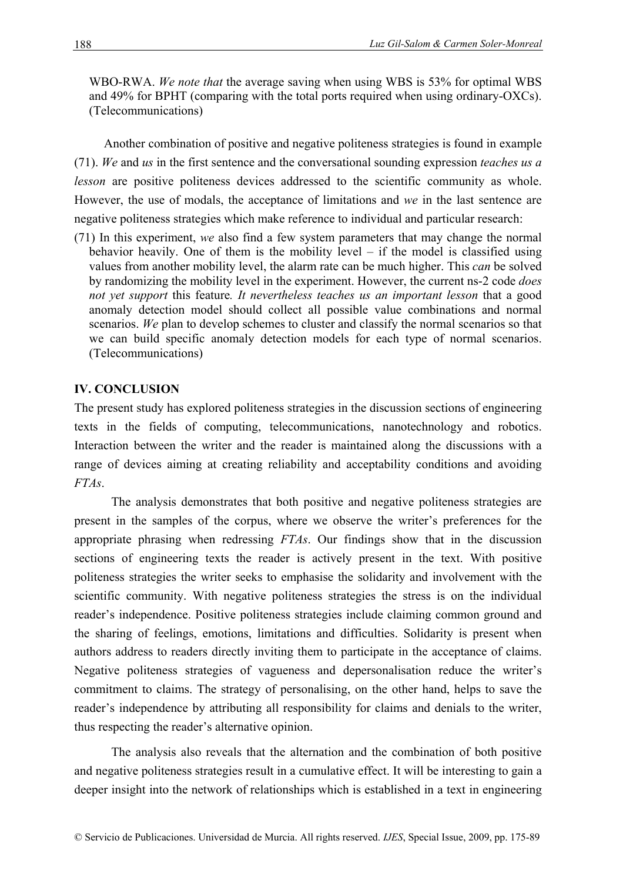WBO-RWA. *We note that* the average saving when using WBS is 53% for optimal WBS and 49% for BPHT (comparing with the total ports required when using ordinary-OXCs). (Telecommunications)

Another combination of positive and negative politeness strategies is found in example (71). *We* and *us* in the first sentence and the conversational sounding expression *teaches us a lesson* are positive politeness devices addressed to the scientific community as whole. However, the use of modals, the acceptance of limitations and *we* in the last sentence are negative politeness strategies which make reference to individual and particular research:

(71) In this experiment, *we* also find a few system parameters that may change the normal behavior heavily. One of them is the mobility level – if the model is classified using values from another mobility level, the alarm rate can be much higher. This *can* be solved by randomizing the mobility level in the experiment. However, the current ns-2 code *does not yet support* this feature*. It nevertheless teaches us an important lesson* that a good anomaly detection model should collect all possible value combinations and normal scenarios. We plan to develop schemes to cluster and classify the normal scenarios so that we can build specific anomaly detection models for each type of normal scenarios. (Telecommunications)

## **IV. CONCLUSION**

The present study has explored politeness strategies in the discussion sections of engineering texts in the fields of computing, telecommunications, nanotechnology and robotics. Interaction between the writer and the reader is maintained along the discussions with a range of devices aiming at creating reliability and acceptability conditions and avoiding *FTAs*.

The analysis demonstrates that both positive and negative politeness strategies are present in the samples of the corpus, where we observe the writer's preferences for the appropriate phrasing when redressing *FTAs*. Our findings show that in the discussion sections of engineering texts the reader is actively present in the text. With positive politeness strategies the writer seeks to emphasise the solidarity and involvement with the scientific community. With negative politeness strategies the stress is on the individual reader's independence. Positive politeness strategies include claiming common ground and the sharing of feelings, emotions, limitations and difficulties. Solidarity is present when authors address to readers directly inviting them to participate in the acceptance of claims. Negative politeness strategies of vagueness and depersonalisation reduce the writer's commitment to claims. The strategy of personalising, on the other hand, helps to save the reader's independence by attributing all responsibility for claims and denials to the writer, thus respecting the reader's alternative opinion.

The analysis also reveals that the alternation and the combination of both positive and negative politeness strategies result in a cumulative effect. It will be interesting to gain a deeper insight into the network of relationships which is established in a text in engineering